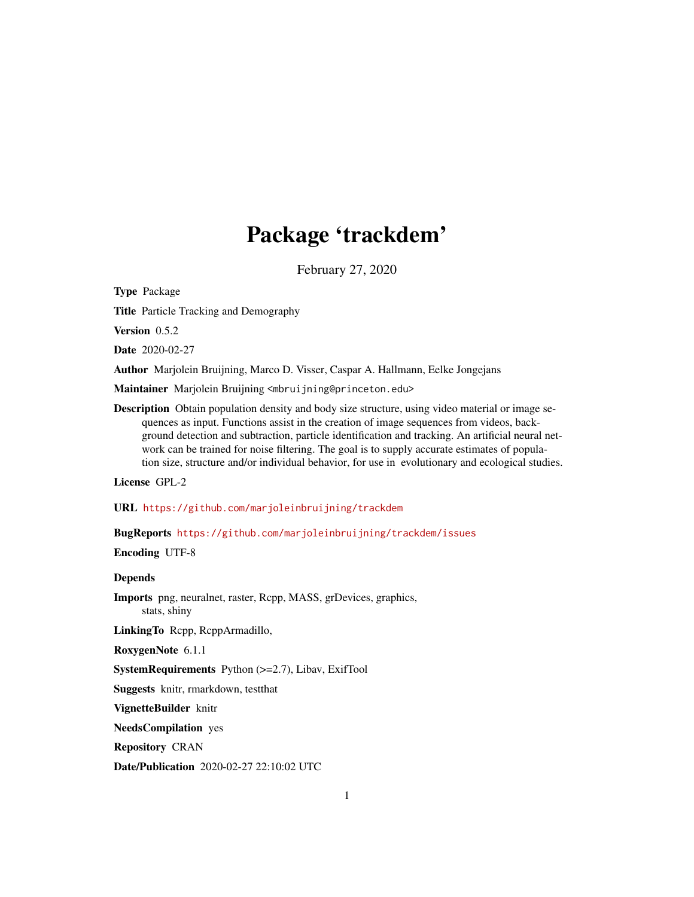# Package 'trackdem'

February 27, 2020

<span id="page-0-0"></span>Type Package

Title Particle Tracking and Demography

Version 0.5.2

Date 2020-02-27

Author Marjolein Bruijning, Marco D. Visser, Caspar A. Hallmann, Eelke Jongejans

Maintainer Marjolein Bruijning <mbruijning@princeton.edu>

Description Obtain population density and body size structure, using video material or image sequences as input. Functions assist in the creation of image sequences from videos, background detection and subtraction, particle identification and tracking. An artificial neural network can be trained for noise filtering. The goal is to supply accurate estimates of population size, structure and/or individual behavior, for use in evolutionary and ecological studies.

License GPL-2

URL <https://github.com/marjoleinbruijning/trackdem>

BugReports <https://github.com/marjoleinbruijning/trackdem/issues>

Encoding UTF-8

# Depends

Imports png, neuralnet, raster, Rcpp, MASS, grDevices, graphics, stats, shiny

LinkingTo Rcpp, RcppArmadillo,

RoxygenNote 6.1.1

SystemRequirements Python (>=2.7), Libav, ExifTool

Suggests knitr, rmarkdown, testthat

VignetteBuilder knitr

NeedsCompilation yes

Repository CRAN

Date/Publication 2020-02-27 22:10:02 UTC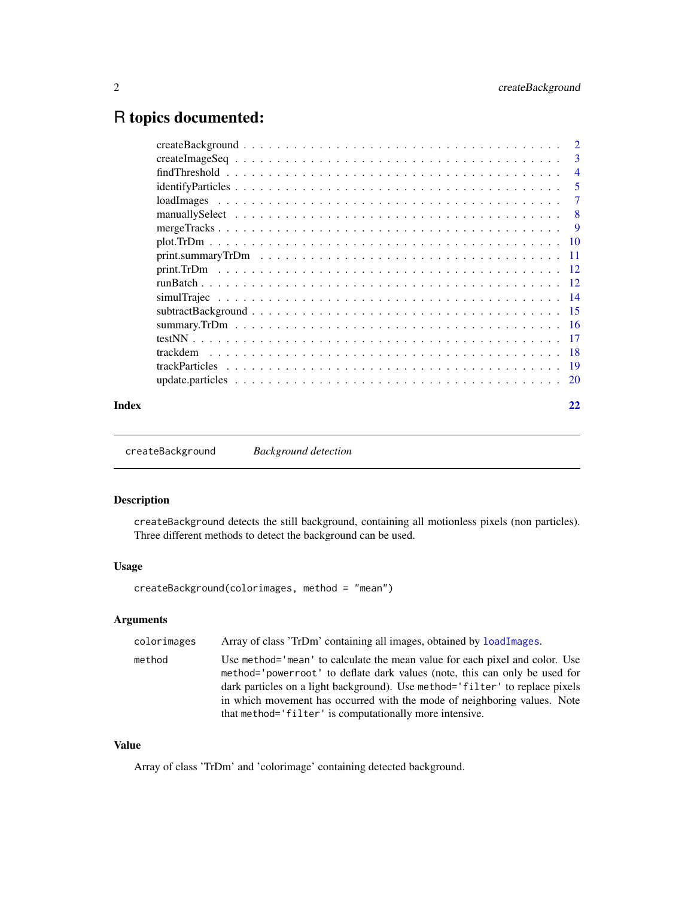# <span id="page-1-0"></span>R topics documented:

|       |          | $\overline{2}$          |
|-------|----------|-------------------------|
|       |          | $\overline{\mathbf{3}}$ |
|       |          | $\overline{4}$          |
|       |          | $\overline{5}$          |
|       |          | -7                      |
|       |          | - 8                     |
|       |          | $\overline{9}$          |
|       |          |                         |
|       |          |                         |
|       |          |                         |
|       |          |                         |
|       |          |                         |
|       |          |                         |
|       |          |                         |
|       |          |                         |
|       | trackdem |                         |
|       |          |                         |
|       |          |                         |
| Index |          | 22                      |

<span id="page-1-1"></span>createBackground *Background detection*

# Description

createBackground detects the still background, containing all motionless pixels (non particles). Three different methods to detect the background can be used.

# Usage

createBackground(colorimages, method = "mean")

# Arguments

| colorimages | Array of class 'TrDm' containing all images, obtained by loadImages.                                                                                                                                                                                                                                                   |
|-------------|------------------------------------------------------------------------------------------------------------------------------------------------------------------------------------------------------------------------------------------------------------------------------------------------------------------------|
| method      | Use method= 'mean' to calculate the mean value for each pixel and color. Use<br>method='powerroot' to deflate dark values (note, this can only be used for<br>dark particles on a light background). Use method='filter' to replace pixels<br>in which movement has occurred with the mode of neighboring values. Note |
|             | that method= 'filter' is computationally more intensive.                                                                                                                                                                                                                                                               |

# Value

Array of class 'TrDm' and 'colorimage' containing detected background.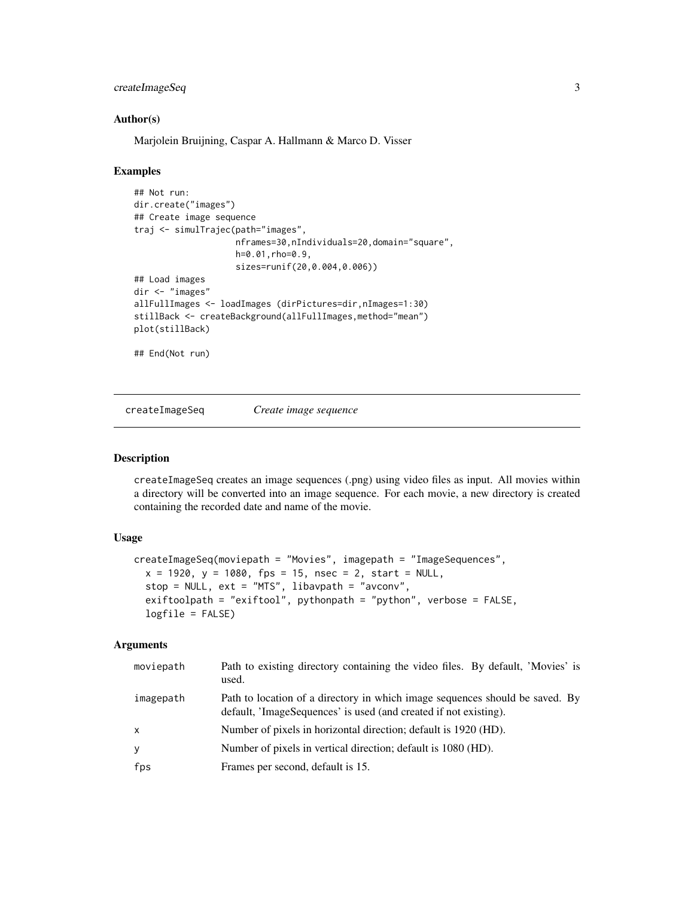# <span id="page-2-0"></span>createImageSeq 3

#### Author(s)

Marjolein Bruijning, Caspar A. Hallmann & Marco D. Visser

#### Examples

```
## Not run:
dir.create("images")
## Create image sequence
traj <- simulTrajec(path="images",
                    nframes=30,nIndividuals=20,domain="square",
                    h=0.01,rho=0.9,
                    sizes=runif(20,0.004,0.006))
## Load images
dir <- "images"
allFullImages <- loadImages (dirPictures=dir,nImages=1:30)
stillBack <- createBackground(allFullImages,method="mean")
plot(stillBack)
## End(Not run)
```
createImageSeq *Create image sequence*

#### Description

createImageSeq creates an image sequences (.png) using video files as input. All movies within a directory will be converted into an image sequence. For each movie, a new directory is created containing the recorded date and name of the movie.

#### Usage

```
createImageSeq(moviepath = "Movies", imagepath = "ImageSequences",
  x = 1920, y = 1080, fps = 15, nsec = 2, start = NULL,
  stop = NULL, ext = "MTS", libavpath = "avconv",exiftoolpath = "exiftool", pythonpath = "python", verbose = FALSE,
  logfile = FALSE)
```
#### Arguments

| moviepath    | Path to existing directory containing the video files. By default, 'Movies' is<br>used.                                                          |
|--------------|--------------------------------------------------------------------------------------------------------------------------------------------------|
| imagepath    | Path to location of a directory in which image sequences should be saved. By<br>default, 'ImageSequences' is used (and created if not existing). |
| $\mathsf{x}$ | Number of pixels in horizontal direction; default is 1920 (HD).                                                                                  |
| У            | Number of pixels in vertical direction; default is 1080 (HD).                                                                                    |
| fps          | Frames per second, default is 15.                                                                                                                |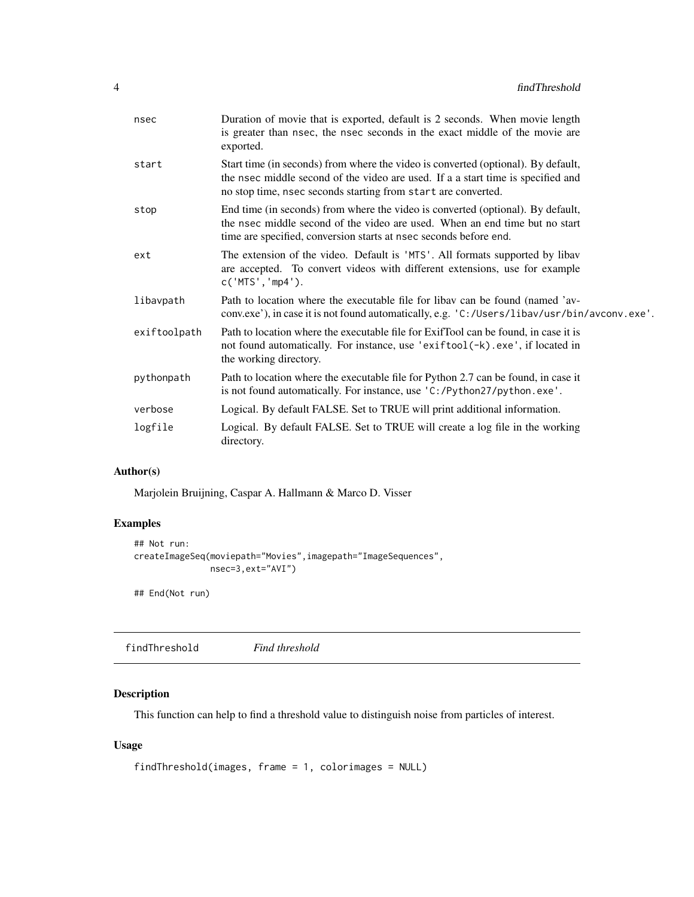<span id="page-3-0"></span>

| nsec         | Duration of movie that is exported, default is 2 seconds. When movie length<br>is greater than nsec, the nsec seconds in the exact middle of the movie are<br>exported.                                                                |
|--------------|----------------------------------------------------------------------------------------------------------------------------------------------------------------------------------------------------------------------------------------|
| start        | Start time (in seconds) from where the video is converted (optional). By default,<br>the nsec middle second of the video are used. If a a start time is specified and<br>no stop time, nsec seconds starting from start are converted. |
| stop         | End time (in seconds) from where the video is converted (optional). By default,<br>the nsec middle second of the video are used. When an end time but no start<br>time are specified, conversion starts at nsec seconds before end.    |
| ext          | The extension of the video. Default is 'MTS'. All formats supported by libav<br>are accepted. To convert videos with different extensions, use for example<br>c('MTS', 'mp4').                                                         |
| libavpath    | Path to location where the executable file for libay can be found (named 'av-<br>conv.exe'), in case it is not found automatically, e.g. 'C:/Users/libav/usr/bin/avconv.exe'.                                                          |
| exiftoolpath | Path to location where the executable file for ExifTool can be found, in case it is<br>not found automatically. For instance, use 'exiftool(-k).exe', if located in<br>the working directory.                                          |
| pythonpath   | Path to location where the executable file for Python 2.7 can be found, in case it<br>is not found automatically. For instance, use 'C:/Python27/python.exe'.                                                                          |
| verbose      | Logical. By default FALSE. Set to TRUE will print additional information.                                                                                                                                                              |
| logfile      | Logical. By default FALSE. Set to TRUE will create a log file in the working<br>directory.                                                                                                                                             |

# Author(s)

Marjolein Bruijning, Caspar A. Hallmann & Marco D. Visser

# Examples

```
## Not run:
createImageSeq(moviepath="Movies",imagepath="ImageSequences",
               nsec=3,ext="AVI")
```
## End(Not run)

findThreshold *Find threshold*

# Description

This function can help to find a threshold value to distinguish noise from particles of interest.

```
findThreshold(images, frame = 1, colorimages = NULL)
```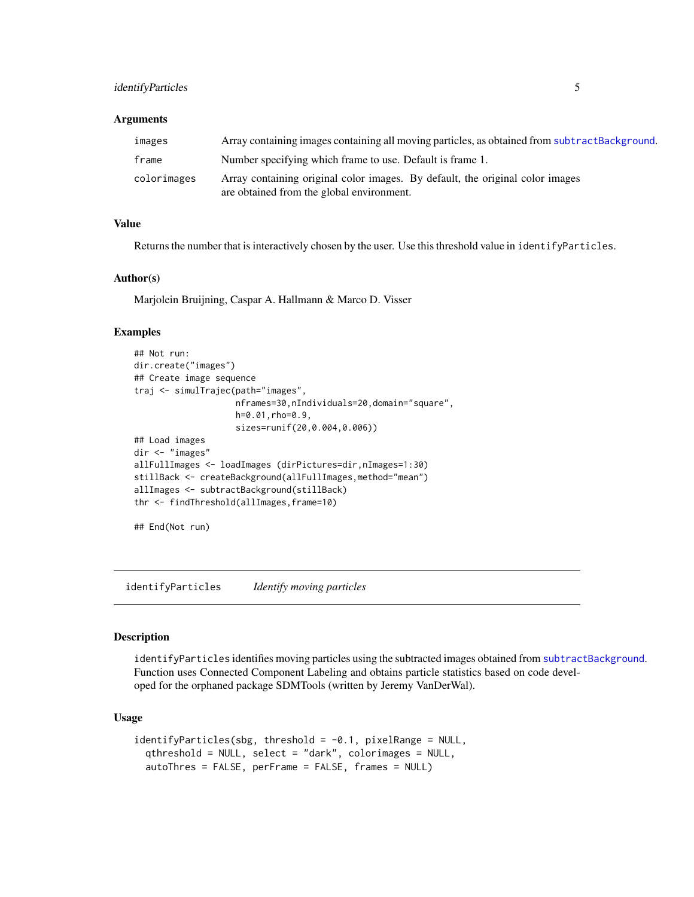# <span id="page-4-0"></span>identifyParticles 5

#### **Arguments**

| images      | Array containing images containing all moving particles, as obtained from subtractBackground.                              |
|-------------|----------------------------------------------------------------------------------------------------------------------------|
| frame       | Number specifying which frame to use. Default is frame 1.                                                                  |
| colorimages | Array containing original color images. By default, the original color images<br>are obtained from the global environment. |

# Value

Returns the number that is interactively chosen by the user. Use this threshold value in identifyParticles.

#### Author(s)

Marjolein Bruijning, Caspar A. Hallmann & Marco D. Visser

# Examples

```
## Not run:
dir.create("images")
## Create image sequence
traj <- simulTrajec(path="images",
                    nframes=30,nIndividuals=20,domain="square",
                    h=0.01,rho=0.9,
                    sizes=runif(20,0.004,0.006))
## Load images
dir <- "images"
allFullImages <- loadImages (dirPictures=dir,nImages=1:30)
stillBack <- createBackground(allFullImages,method="mean")
allImages <- subtractBackground(stillBack)
thr <- findThreshold(allImages,frame=10)
```

```
## End(Not run)
```
<span id="page-4-1"></span>identifyParticles *Identify moving particles*

#### Description

identifyParticles identifies moving particles using the subtracted images obtained from [subtractBackground](#page-14-1). Function uses Connected Component Labeling and obtains particle statistics based on code developed for the orphaned package SDMTools (written by Jeremy VanDerWal).

```
identityParticles(sbg, threshold = -0.1, pixelRange = NULL,qthreshold = NULL, select = "dark", colorimages = NULL,
  autoThres = FALSE, perFrame = FALSE, frames = NULL)
```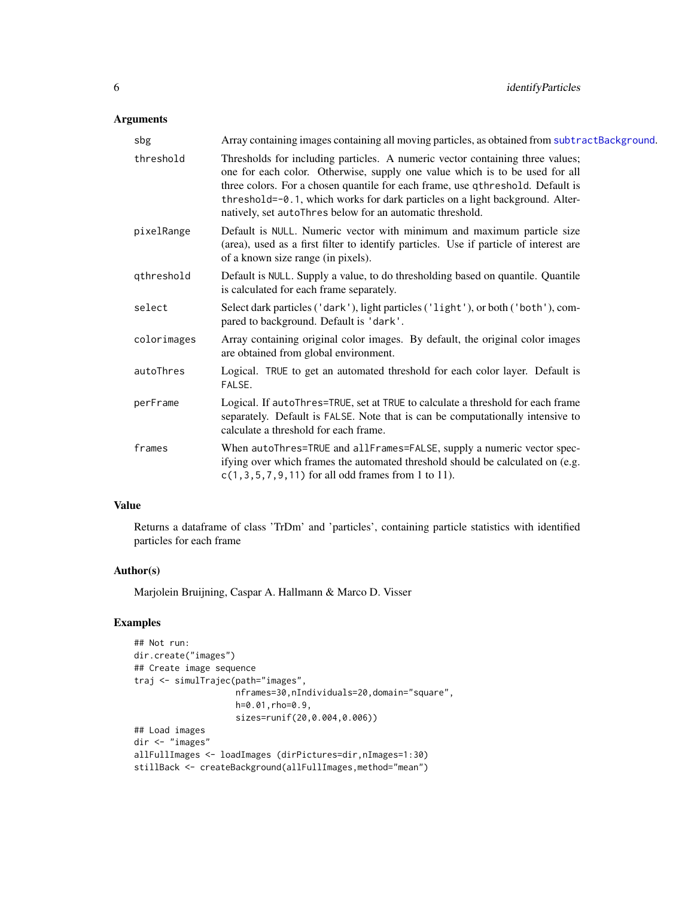# <span id="page-5-0"></span>Arguments

| sbg         | Array containing images containing all moving particles, as obtained from subtractBackground.                                                                                                                                                                                                                                                                                               |
|-------------|---------------------------------------------------------------------------------------------------------------------------------------------------------------------------------------------------------------------------------------------------------------------------------------------------------------------------------------------------------------------------------------------|
| threshold   | Thresholds for including particles. A numeric vector containing three values;<br>one for each color. Otherwise, supply one value which is to be used for all<br>three colors. For a chosen quantile for each frame, use qthreshold. Default is<br>threshold=-0.1, which works for dark particles on a light background. Alter-<br>natively, set autoThres below for an automatic threshold. |
| pixelRange  | Default is NULL. Numeric vector with minimum and maximum particle size<br>(area), used as a first filter to identify particles. Use if particle of interest are<br>of a known size range (in pixels).                                                                                                                                                                                       |
| qthreshold  | Default is NULL. Supply a value, to do thresholding based on quantile. Quantile<br>is calculated for each frame separately.                                                                                                                                                                                                                                                                 |
| select      | Select dark particles ('dark'), light particles ('light'), or both ('both'), com-<br>pared to background. Default is 'dark'.                                                                                                                                                                                                                                                                |
| colorimages | Array containing original color images. By default, the original color images<br>are obtained from global environment.                                                                                                                                                                                                                                                                      |
| autoThres   | Logical. TRUE to get an automated threshold for each color layer. Default is<br>FALSE.                                                                                                                                                                                                                                                                                                      |
| perFrame    | Logical. If autoThres=TRUE, set at TRUE to calculate a threshold for each frame<br>separately. Default is FALSE. Note that is can be computationally intensive to<br>calculate a threshold for each frame.                                                                                                                                                                                  |
| frames      | When autoThres=TRUE and allFrames=FALSE, supply a numeric vector spec-<br>ifying over which frames the automated threshold should be calculated on (e.g.<br>$c(1, 3, 5, 7, 9, 11)$ for all odd frames from 1 to 11).                                                                                                                                                                        |

# Value

Returns a dataframe of class 'TrDm' and 'particles', containing particle statistics with identified particles for each frame

#### Author(s)

Marjolein Bruijning, Caspar A. Hallmann & Marco D. Visser

```
## Not run:
dir.create("images")
## Create image sequence
traj <- simulTrajec(path="images",
                    nframes=30,nIndividuals=20,domain="square",
                    h=0.01,rho=0.9,
                    sizes=runif(20,0.004,0.006))
## Load images
dir <- "images"
allFullImages <- loadImages (dirPictures=dir,nImages=1:30)
stillBack <- createBackground(allFullImages, method="mean")
```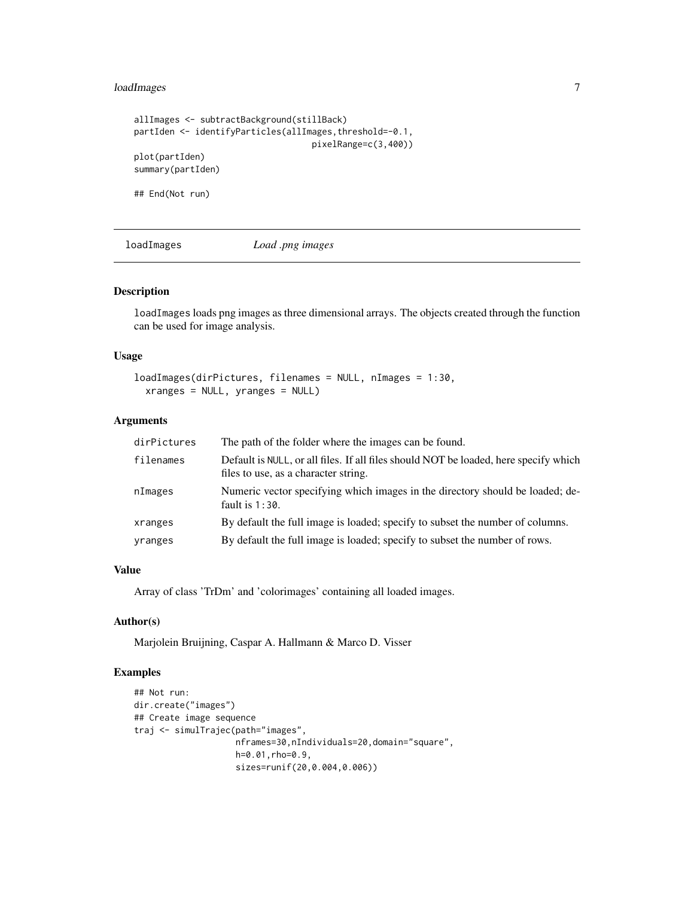# <span id="page-6-0"></span>loadImages 7

```
allImages <- subtractBackground(stillBack)
partIden <- identifyParticles(allImages,threshold=-0.1,
                                   pixelRange=c(3,400))
plot(partIden)
summary(partIden)
## End(Not run)
```
<span id="page-6-1"></span>

loadImages *Load .png images*

#### Description

loadImages loads png images as three dimensional arrays. The objects created through the function can be used for image analysis.

# Usage

```
loadImages(dirPictures, filenames = NULL, nImages = 1:30,
  xranges = NULL, yranges = NULL)
```
#### Arguments

| dirPictures | The path of the folder where the images can be found.                                                                        |
|-------------|------------------------------------------------------------------------------------------------------------------------------|
| filenames   | Default is NULL, or all files. If all files should NOT be loaded, here specify which<br>files to use, as a character string. |
| nImages     | Numeric vector specifying which images in the directory should be loaded; de-<br>fault is $1:30$ .                           |
| xranges     | By default the full image is loaded; specify to subset the number of columns.                                                |
| yranges     | By default the full image is loaded; specify to subset the number of rows.                                                   |

#### Value

Array of class 'TrDm' and 'colorimages' containing all loaded images.

### Author(s)

Marjolein Bruijning, Caspar A. Hallmann & Marco D. Visser

```
## Not run:
dir.create("images")
## Create image sequence
traj <- simulTrajec(path="images",
                    nframes=30,nIndividuals=20,domain="square",
                    h=0.01,rho=0.9,
                    sizes=runif(20,0.004,0.006))
```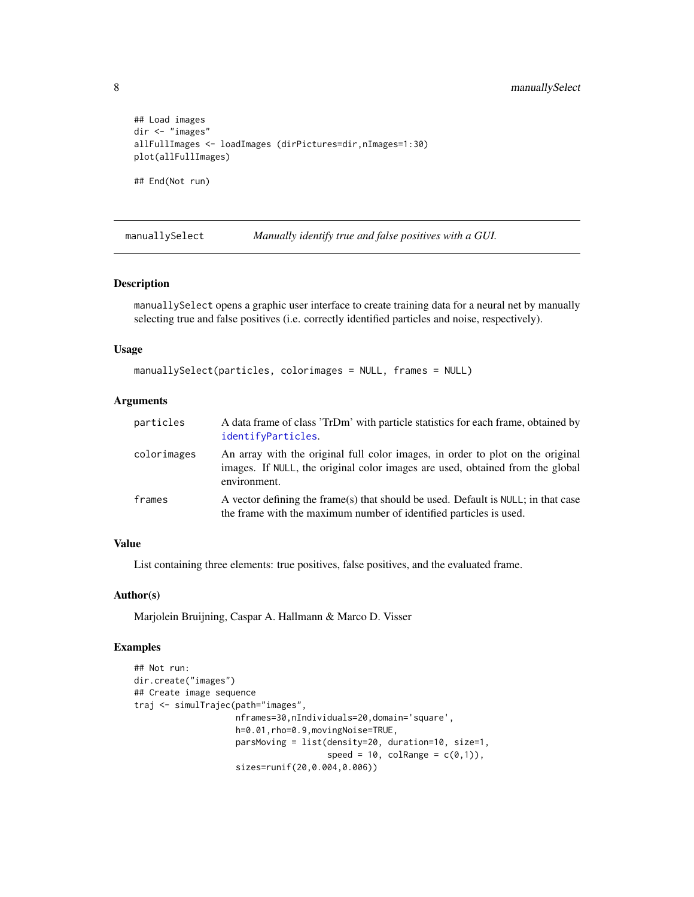```
## Load images
dir <- "images"
allFullImages <- loadImages (dirPictures=dir,nImages=1:30)
plot(allFullImages)
## End(Not run)
```
manuallySelect *Manually identify true and false positives with a GUI.*

#### Description

manuallySelect opens a graphic user interface to create training data for a neural net by manually selecting true and false positives (i.e. correctly identified particles and noise, respectively).

#### Usage

```
manuallySelect(particles, colorimages = NULL, frames = NULL)
```
#### Arguments

| particles   | A data frame of class 'TrDm' with particle statistics for each frame, obtained by<br>identifyParticles.                                                                         |
|-------------|---------------------------------------------------------------------------------------------------------------------------------------------------------------------------------|
| colorimages | An array with the original full color images, in order to plot on the original<br>images. If NULL, the original color images are used, obtained from the global<br>environment. |
| frames      | A vector defining the frame(s) that should be used. Default is NULL; in that case<br>the frame with the maximum number of identified particles is used.                         |

#### Value

List containing three elements: true positives, false positives, and the evaluated frame.

#### Author(s)

Marjolein Bruijning, Caspar A. Hallmann & Marco D. Visser

```
## Not run:
dir.create("images")
## Create image sequence
traj <- simulTrajec(path="images",
                    nframes=30,nIndividuals=20,domain='square',
                    h=0.01,rho=0.9,movingNoise=TRUE,
                    parsMoving = list(density=20, duration=10, size=1,
                                      speed = 10, colRange = c(0,1)),
                    sizes=runif(20,0.004,0.006))
```
<span id="page-7-0"></span>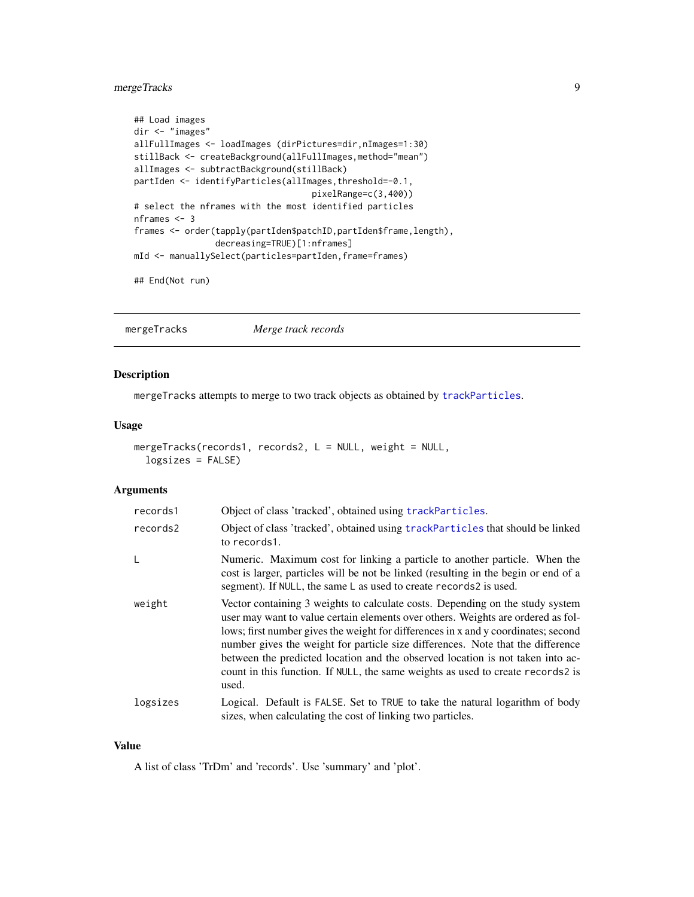# <span id="page-8-0"></span>mergeTracks 9

```
## Load images
dir <- "images"
allFullImages <- loadImages (dirPictures=dir,nImages=1:30)
stillBack <- createBackground(allFullImages,method="mean")
allImages <- subtractBackground(stillBack)
partIden <- identifyParticles(allImages,threshold=-0.1,
                                   pixelRange=c(3,400))
# select the nframes with the most identified particles
nframes <- 3
frames <- order(tapply(partIden$patchID,partIden$frame,length),
                decreasing=TRUE)[1:nframes]
mId <- manuallySelect(particles=partIden,frame=frames)
```
## End(Not run)

mergeTracks *Merge track records*

# Description

mergeTracks attempts to merge to two track objects as obtained by [trackParticles](#page-18-1).

#### Usage

```
mergeTracks(records1, records2, L = NULL, weight = NULL,
  logsizes = FALSE)
```
#### Arguments

| records1 | Object of class 'tracked', obtained using trackParticles.                                                                                                                                                                                                                                                                                                                                                                                                                                                                |
|----------|--------------------------------------------------------------------------------------------------------------------------------------------------------------------------------------------------------------------------------------------------------------------------------------------------------------------------------------------------------------------------------------------------------------------------------------------------------------------------------------------------------------------------|
| records2 | Object of class 'tracked', obtained using trackParticles that should be linked<br>to records1.                                                                                                                                                                                                                                                                                                                                                                                                                           |
| L        | Numeric. Maximum cost for linking a particle to another particle. When the<br>cost is larger, particles will be not be linked (resulting in the begin or end of a<br>segment). If NULL, the same L as used to create records2 is used.                                                                                                                                                                                                                                                                                   |
| weight   | Vector containing 3 weights to calculate costs. Depending on the study system<br>user may want to value certain elements over others. Weights are ordered as fol-<br>lows; first number gives the weight for differences in x and y coordinates; second<br>number gives the weight for particle size differences. Note that the difference<br>between the predicted location and the observed location is not taken into ac-<br>count in this function. If NULL, the same weights as used to create records2 is<br>used. |
| logsizes | Logical. Default is FALSE. Set to TRUE to take the natural logarithm of body<br>sizes, when calculating the cost of linking two particles.                                                                                                                                                                                                                                                                                                                                                                               |

#### Value

A list of class 'TrDm' and 'records'. Use 'summary' and 'plot'.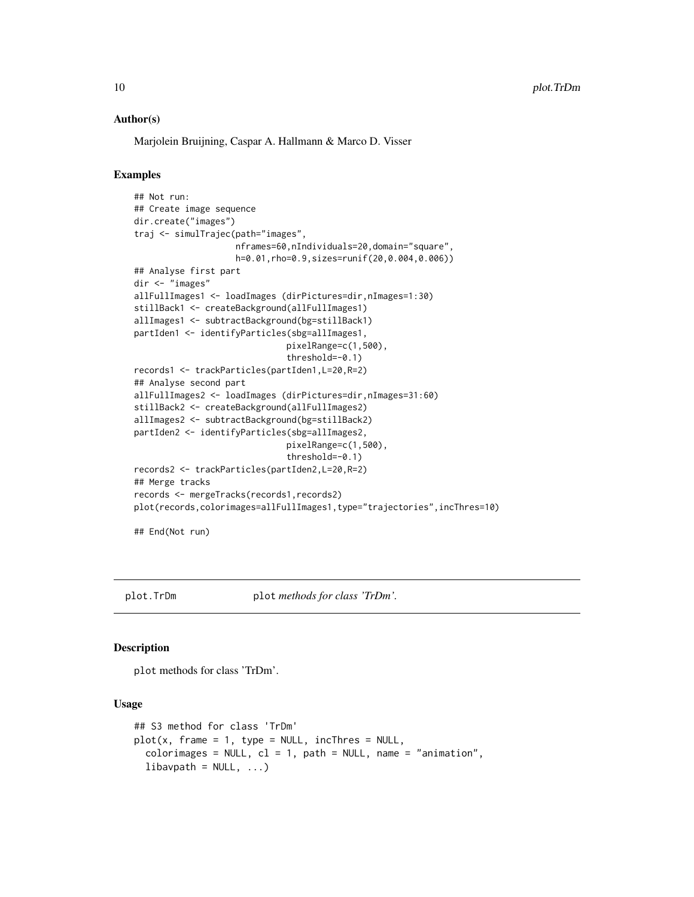#### Author(s)

Marjolein Bruijning, Caspar A. Hallmann & Marco D. Visser

# Examples

```
## Not run:
## Create image sequence
dir.create("images")
traj <- simulTrajec(path="images",
                    nframes=60,nIndividuals=20,domain="square",
                    h=0.01,rho=0.9,sizes=runif(20,0.004,0.006))
## Analyse first part
dir <- "images"
allFullImages1 <- loadImages (dirPictures=dir,nImages=1:30)
stillBack1 <- createBackground(allFullImages1)
allImages1 <- subtractBackground(bg=stillBack1)
partIden1 <- identifyParticles(sbg=allImages1,
                              pixelRange=c(1,500),
                              threshold=-0.1)
records1 <- trackParticles(partIden1,L=20,R=2)
## Analyse second part
allFullImages2 <- loadImages (dirPictures=dir,nImages=31:60)
stillBack2 <- createBackground(allFullImages2)
allImages2 <- subtractBackground(bg=stillBack2)
partIden2 <- identifyParticles(sbg=allImages2,
                              pixelRange=c(1,500),
                              threshold=-0.1)
records2 <- trackParticles(partIden2,L=20,R=2)
## Merge tracks
records <- mergeTracks(records1,records2)
plot(records,colorimages=allFullImages1,type="trajectories",incThres=10)
```
## End(Not run)

plot.TrDm plot *methods for class 'TrDm'.*

#### Description

plot methods for class 'TrDm'.

```
## S3 method for class 'TrDm'
plot(x, frame = 1, type = NULL, incThres = NULL,color images = NULL, cl = 1, path = NULL, name = "animation",libavpath = NULL, ...)
```
<span id="page-9-0"></span>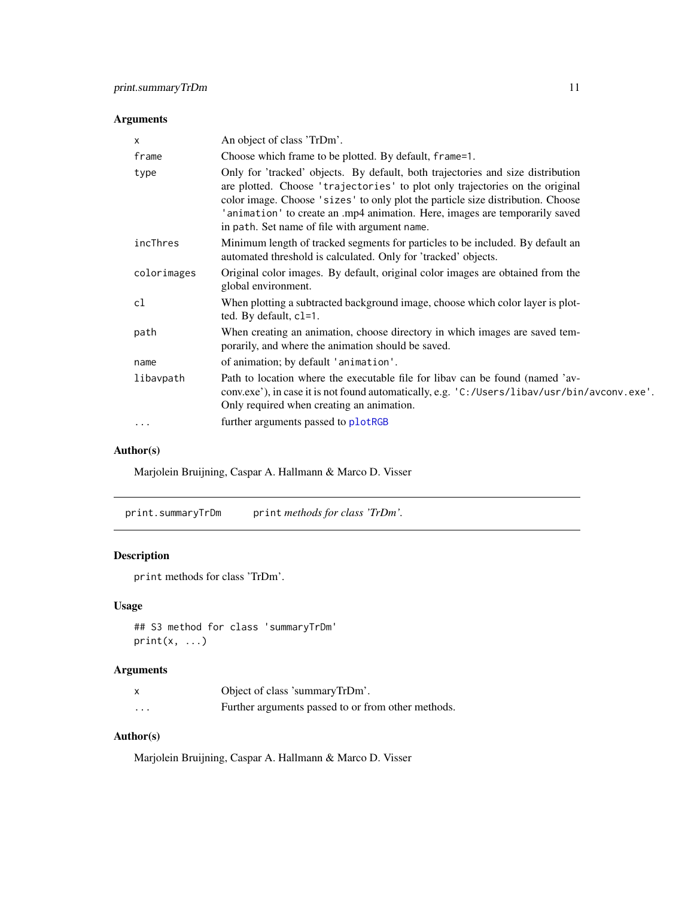# <span id="page-10-0"></span>Arguments

| X           | An object of class 'TrDm'.                                                                                                                                                                                                                                                                                                                                                         |
|-------------|------------------------------------------------------------------------------------------------------------------------------------------------------------------------------------------------------------------------------------------------------------------------------------------------------------------------------------------------------------------------------------|
| frame       | Choose which frame to be plotted. By default, frame=1.                                                                                                                                                                                                                                                                                                                             |
| type        | Only for 'tracked' objects. By default, both trajectories and size distribution<br>are plotted. Choose 'trajectories' to plot only trajectories on the original<br>color image. Choose 'sizes' to only plot the particle size distribution. Choose<br>'animation' to create an .mp4 animation. Here, images are temporarily saved<br>in path. Set name of file with argument name. |
| incThres    | Minimum length of tracked segments for particles to be included. By default an<br>automated threshold is calculated. Only for 'tracked' objects.                                                                                                                                                                                                                                   |
| colorimages | Original color images. By default, original color images are obtained from the<br>global environment.                                                                                                                                                                                                                                                                              |
| cl          | When plotting a subtracted background image, choose which color layer is plot-<br>ted. By default, c1=1.                                                                                                                                                                                                                                                                           |
| path        | When creating an animation, choose directory in which images are saved tem-<br>porarily, and where the animation should be saved.                                                                                                                                                                                                                                                  |
| name        | of animation; by default 'animation'.                                                                                                                                                                                                                                                                                                                                              |
| libavpath   | Path to location where the executable file for libay can be found (named 'av-<br>conv.exe'), in case it is not found automatically, e.g. 'C:/Users/libav/usr/bin/avconv.exe'.<br>Only required when creating an animation.                                                                                                                                                         |
| $\cdots$    | further arguments passed to plotRGB                                                                                                                                                                                                                                                                                                                                                |

# Author(s)

Marjolein Bruijning, Caspar A. Hallmann & Marco D. Visser

print.summaryTrDm print *methods for class 'TrDm'.*

# Description

print methods for class 'TrDm'.

# Usage

```
## S3 method for class 'summaryTrDm'
print(x, \ldots)
```
# Arguments

|          | Object of class 'summaryTrDm'.                     |
|----------|----------------------------------------------------|
| $\cdots$ | Further arguments passed to or from other methods. |

# Author(s)

Marjolein Bruijning, Caspar A. Hallmann & Marco D. Visser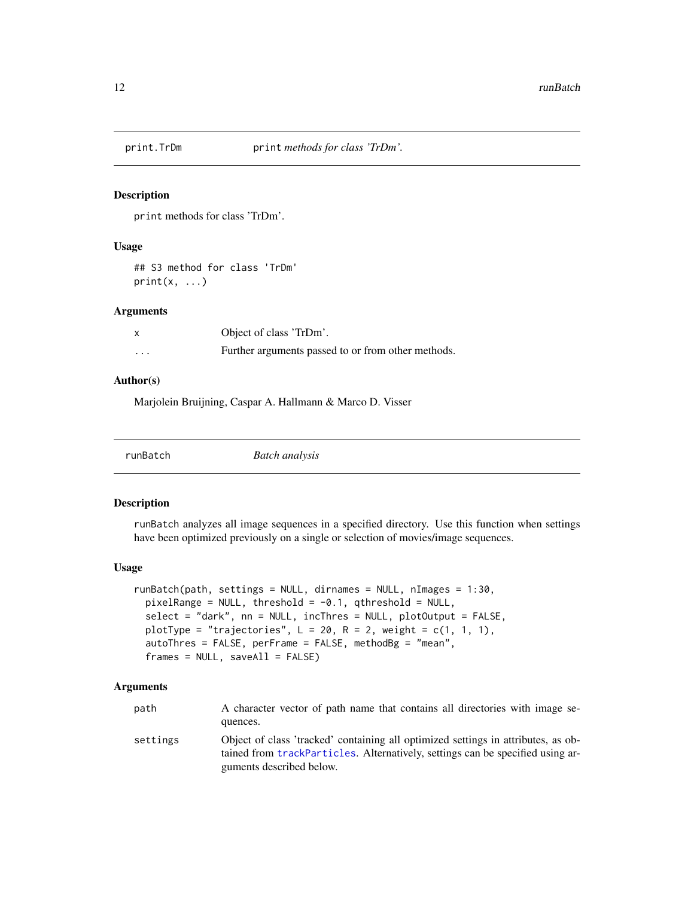<span id="page-11-0"></span>

#### Description

print methods for class 'TrDm'.

#### Usage

## S3 method for class 'TrDm'  $print(x, \ldots)$ 

### Arguments

|          | Object of class 'TrDm'.                            |
|----------|----------------------------------------------------|
| $\cdots$ | Further arguments passed to or from other methods. |

# Author(s)

Marjolein Bruijning, Caspar A. Hallmann & Marco D. Visser

| runBatch | <b>Batch analysis</b> |  |  |
|----------|-----------------------|--|--|
|----------|-----------------------|--|--|

#### Description

runBatch analyzes all image sequences in a specified directory. Use this function when settings have been optimized previously on a single or selection of movies/image sequences.

#### Usage

```
runBatch(path, settings = NULL, dirnames = NULL, nImages = 1:30,
 pixelRange = NULL, threshold = -0.1, qthreshold = NULL,
  select = "dark", nn = NULL, incThres = NULL, plotOutput = FALSE,
 plotType = "trajectories", L = 20, R = 2, weight = c(1, 1, 1),
  autoThres = FALSE, perFrame = FALSE, methodBg = "mean",
  frames = NULL, saveAll = FALSE)
```
#### Arguments

| path | A character vector of path name that contains all directories with image se- |  |
|------|------------------------------------------------------------------------------|--|
|      | quences.                                                                     |  |

settings Object of class 'tracked' containing all optimized settings in attributes, as obtained from [trackParticles](#page-18-1). Alternatively, settings can be specified using arguments described below.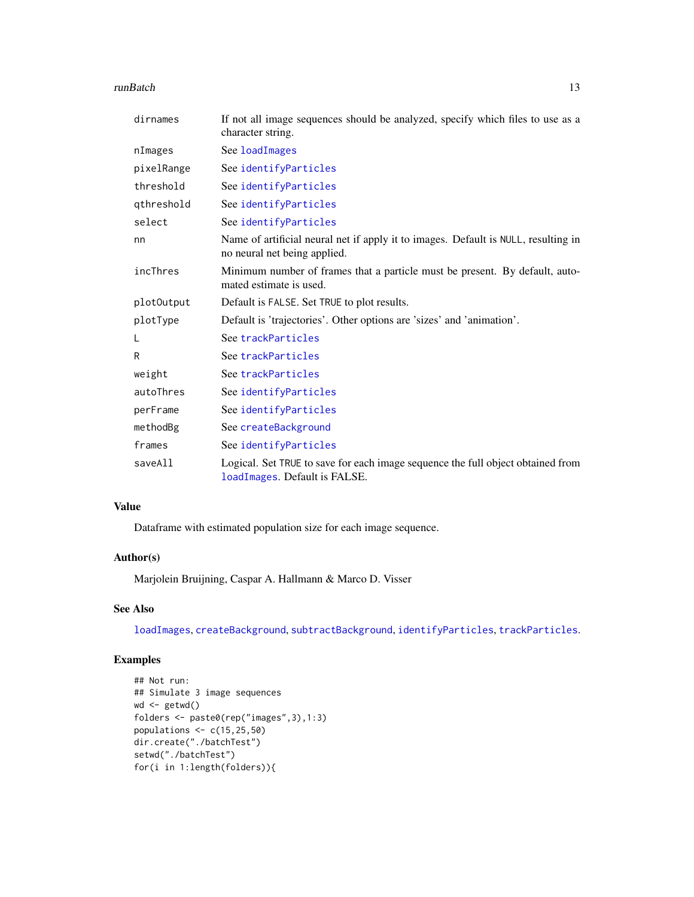#### <span id="page-12-0"></span>runBatch 13

| dirnames   | If not all image sequences should be analyzed, specify which files to use as a<br>character string.                |
|------------|--------------------------------------------------------------------------------------------------------------------|
| nImages    | See loadImages                                                                                                     |
| pixelRange | See identifyParticles                                                                                              |
| threshold  | See identifyParticles                                                                                              |
| qthreshold | See identifyParticles                                                                                              |
| select     | See identifyParticles                                                                                              |
| nn         | Name of artificial neural net if apply it to images. Default is NULL, resulting in<br>no neural net being applied. |
| incThres   | Minimum number of frames that a particle must be present. By default, auto-<br>mated estimate is used.             |
| plot0utput | Default is FALSE. Set TRUE to plot results.                                                                        |
| plotType   | Default is 'trajectories'. Other options are 'sizes' and 'animation'.                                              |
| L          | See trackParticles                                                                                                 |
| R          | See trackParticles                                                                                                 |
| weight     | See trackParticles                                                                                                 |
| autoThres  | See identifyParticles                                                                                              |
| perFrame   | See identifyParticles                                                                                              |
| methodBg   | See createBackground                                                                                               |
| frames     | See identifyParticles                                                                                              |
| saveAll    | Logical. Set TRUE to save for each image sequence the full object obtained from<br>loadImages. Default is FALSE.   |

# Value

Dataframe with estimated population size for each image sequence.

# Author(s)

Marjolein Bruijning, Caspar A. Hallmann & Marco D. Visser

# See Also

[loadImages](#page-6-1), [createBackground](#page-1-1), [subtractBackground](#page-14-1), [identifyParticles](#page-4-1), [trackParticles](#page-18-1).

```
## Not run:
## Simulate 3 image sequences
wd <- getwd()
folders <- paste0(rep("images",3),1:3)
populations \leq c(15, 25, 50)dir.create("./batchTest")
setwd("./batchTest")
for(i in 1:length(folders)){
```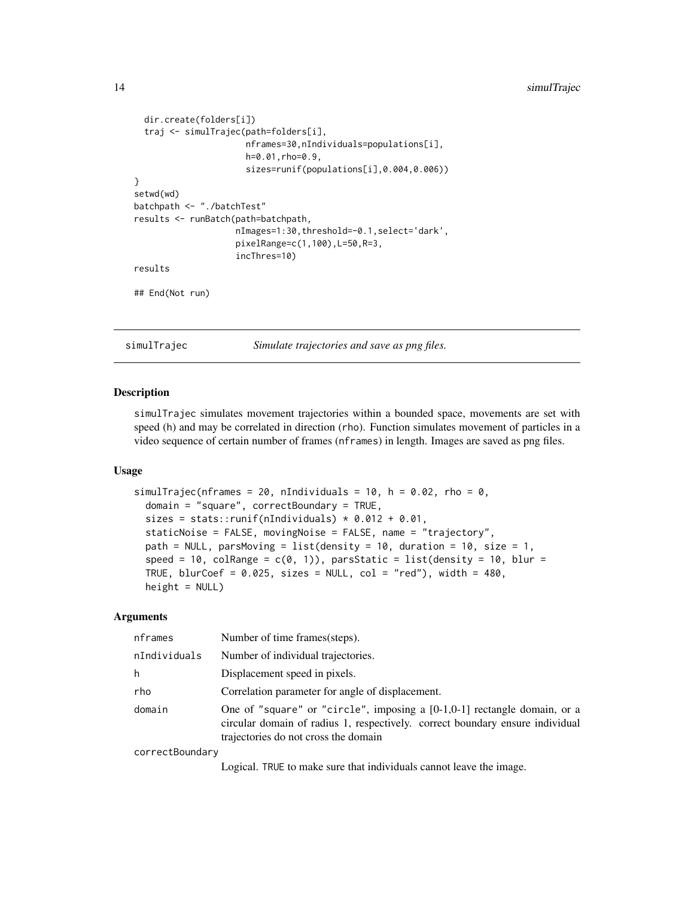```
dir.create(folders[i])
 traj <- simulTrajec(path=folders[i],
                      nframes=30,nIndividuals=populations[i],
                      h=0.01,rho=0.9,
                      sizes=runif(populations[i],0.004,0.006))
}
setwd(wd)
batchpath <- "./batchTest"
results <- runBatch(path=batchpath,
                    nImages=1:30,threshold=-0.1,select='dark',
                    pixelRange=c(1,100),L=50,R=3,
                    incThres=10)
results
## End(Not run)
```
simulTrajec *Simulate trajectories and save as png files.*

# Description

simulTrajec simulates movement trajectories within a bounded space, movements are set with speed (h) and may be correlated in direction (rho). Function simulates movement of particles in a video sequence of certain number of frames (nframes) in length. Images are saved as png files.

#### Usage

```
simulTrajec(nframes = 20, nIndividuals = 10, h = 0.02, rho = 0,
  domain = "square", correctBoundary = TRUE,
  sizes = stats:: runif(nIndividuals) * 0.012 + 0.01,
  staticNoise = FALSE, movingNoise = FALSE, name = "trajectory",
  path = NULL, parsMoving = list(density = 10, duration = 10, size = 1,
  speed = 10, colRange = c(0, 1), parsStatic = list(density = 10, blur =
 TRUE, blurCoef = 0.025, sizes = NULL, col = "red"), width = 480,
 height = NULL)
```
# Arguments

| nframes      | Number of time frames (steps).                                                                                                                                                                      |
|--------------|-----------------------------------------------------------------------------------------------------------------------------------------------------------------------------------------------------|
| nIndividuals | Number of individual trajectories.                                                                                                                                                                  |
| h            | Displacement speed in pixels.                                                                                                                                                                       |
| rho          | Correlation parameter for angle of displacement.                                                                                                                                                    |
| domain       | One of "square" or "circle", imposing a $[0-1,0-1]$ rectangle domain, or a<br>circular domain of radius 1, respectively. correct boundary ensure individual<br>trajectories do not cross the domain |
|              |                                                                                                                                                                                                     |

correctBoundary

Logical. TRUE to make sure that individuals cannot leave the image.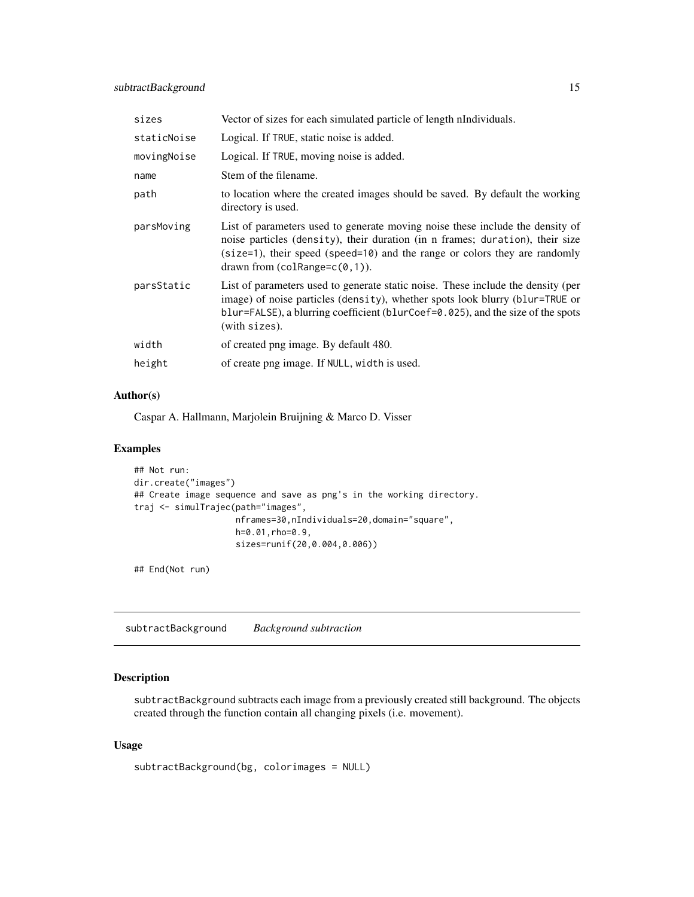<span id="page-14-0"></span>

| sizes       | Vector of sizes for each simulated particle of length nIndividuals.                                                                                                                                                                                                                 |
|-------------|-------------------------------------------------------------------------------------------------------------------------------------------------------------------------------------------------------------------------------------------------------------------------------------|
| staticNoise | Logical. If TRUE, static noise is added.                                                                                                                                                                                                                                            |
| movingNoise | Logical. If TRUE, moving noise is added.                                                                                                                                                                                                                                            |
| name        | Stem of the filename.                                                                                                                                                                                                                                                               |
| path        | to location where the created images should be saved. By default the working<br>directory is used.                                                                                                                                                                                  |
| parsMoving  | List of parameters used to generate moving noise these include the density of<br>noise particles (density), their duration (in n frames; duration), their size<br>$(size=1)$ , their speed (speed=10) and the range or colors they are randomly<br>drawn from $(colRange=c(0,1))$ . |
| parsStatic  | List of parameters used to generate static noise. These include the density (per<br>image) of noise particles (density), whether spots look blurry (blur=TRUE or<br>blur=FALSE), a blurring coefficient (blurCoef=0.025), and the size of the spots<br>(with sizes).                |
| width       | of created png image. By default 480.                                                                                                                                                                                                                                               |
| height      | of create png image. If NULL, width is used.                                                                                                                                                                                                                                        |

# Author(s)

Caspar A. Hallmann, Marjolein Bruijning & Marco D. Visser

# Examples

```
## Not run:
dir.create("images")
## Create image sequence and save as png's in the working directory.
traj <- simulTrajec(path="images",
                    nframes=30,nIndividuals=20,domain="square",
                    h=0.01,rho=0.9,
                    sizes=runif(20,0.004,0.006))
```
## End(Not run)

<span id="page-14-1"></span>subtractBackground *Background subtraction*

# Description

subtractBackground subtracts each image from a previously created still background. The objects created through the function contain all changing pixels (i.e. movement).

```
subtractBackground(bg, colorimages = NULL)
```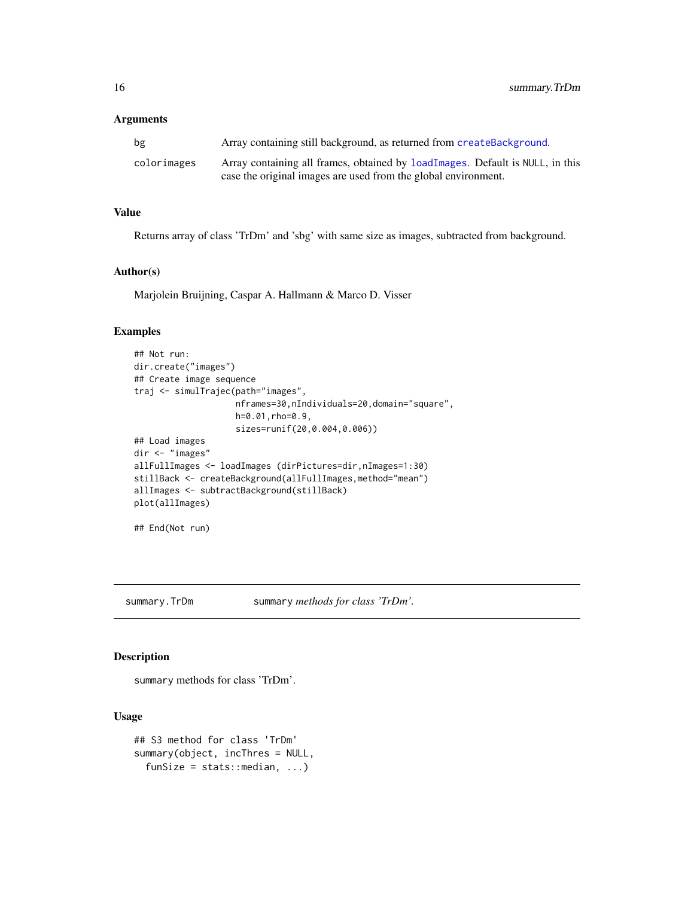#### <span id="page-15-0"></span>Arguments

| bg          | Array containing still background, as returned from createBackground.                                                                           |
|-------------|-------------------------------------------------------------------------------------------------------------------------------------------------|
| colorimages | Array containing all frames, obtained by loadImages. Default is NULL, in this<br>case the original images are used from the global environment. |

# Value

Returns array of class 'TrDm' and 'sbg' with same size as images, subtracted from background.

### Author(s)

Marjolein Bruijning, Caspar A. Hallmann & Marco D. Visser

#### Examples

```
## Not run:
dir.create("images")
## Create image sequence
traj <- simulTrajec(path="images",
                    nframes=30,nIndividuals=20,domain="square",
                    h=0.01,rho=0.9,
                    sizes=runif(20,0.004,0.006))
## Load images
dir <- "images"
allFullImages <- loadImages (dirPictures=dir,nImages=1:30)
stillBack <- createBackground(allFullImages,method="mean")
allImages <- subtractBackground(stillBack)
plot(allImages)
```

```
## End(Not run)
```
summary.TrDm summary *methods for class 'TrDm'.*

#### Description

summary methods for class 'TrDm'.

```
## S3 method for class 'TrDm'
summary(object, incThres = NULL,
  funSize = stats:: median, \ldots)
```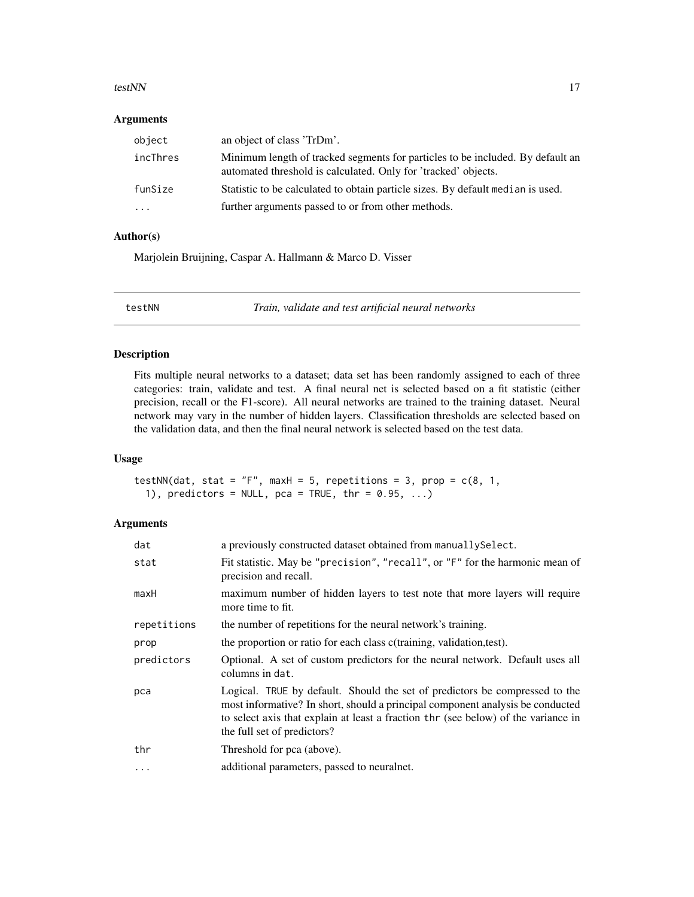#### <span id="page-16-0"></span>testNN and the state of the state of the state of the state of the state of the state of the state of the state of the state of the state of the state of the state of the state of the state of the state of the state of the

# Arguments

| object   | an object of class 'TrDm'.                                                                                                                       |
|----------|--------------------------------------------------------------------------------------------------------------------------------------------------|
| incThres | Minimum length of tracked segments for particles to be included. By default an<br>automated threshold is calculated. Only for 'tracked' objects. |
| funSize  | Statistic to be calculated to obtain particle sizes. By default median is used.                                                                  |
| $\cdot$  | further arguments passed to or from other methods.                                                                                               |

# Author(s)

Marjolein Bruijning, Caspar A. Hallmann & Marco D. Visser

<span id="page-16-1"></span>

testNN *Train, validate and test artificial neural networks*

# Description

Fits multiple neural networks to a dataset; data set has been randomly assigned to each of three categories: train, validate and test. A final neural net is selected based on a fit statistic (either precision, recall or the F1-score). All neural networks are trained to the training dataset. Neural network may vary in the number of hidden layers. Classification thresholds are selected based on the validation data, and then the final neural network is selected based on the test data.

#### Usage

```
testNN(dat, stat = "F", maxH = 5, repetitions = 3, prop = c(8, 1, 1)1), predictors = NULL, pca = TRUE, thr = 0.95, ...
```
# Arguments

| dat         | a previously constructed dataset obtained from manually Select.                                                                                                                                                                                                                    |
|-------------|------------------------------------------------------------------------------------------------------------------------------------------------------------------------------------------------------------------------------------------------------------------------------------|
| stat        | Fit statistic. May be "precision", "recall", or "F" for the harmonic mean of<br>precision and recall.                                                                                                                                                                              |
| maxH        | maximum number of hidden layers to test note that more layers will require<br>more time to fit.                                                                                                                                                                                    |
| repetitions | the number of repetitions for the neural network's training.                                                                                                                                                                                                                       |
| prop        | the proportion or ratio for each class c(training, validation,test).                                                                                                                                                                                                               |
| predictors  | Optional. A set of custom predictors for the neural network. Default uses all<br>columns in dat.                                                                                                                                                                                   |
| pca         | Logical. TRUE by default. Should the set of predictors be compressed to the<br>most informative? In short, should a principal component analysis be conducted<br>to select axis that explain at least a fraction thr (see below) of the variance in<br>the full set of predictors? |
| thr         | Threshold for pca (above).                                                                                                                                                                                                                                                         |
| $\ddots$ .  | additional parameters, passed to neuralnet.                                                                                                                                                                                                                                        |
|             |                                                                                                                                                                                                                                                                                    |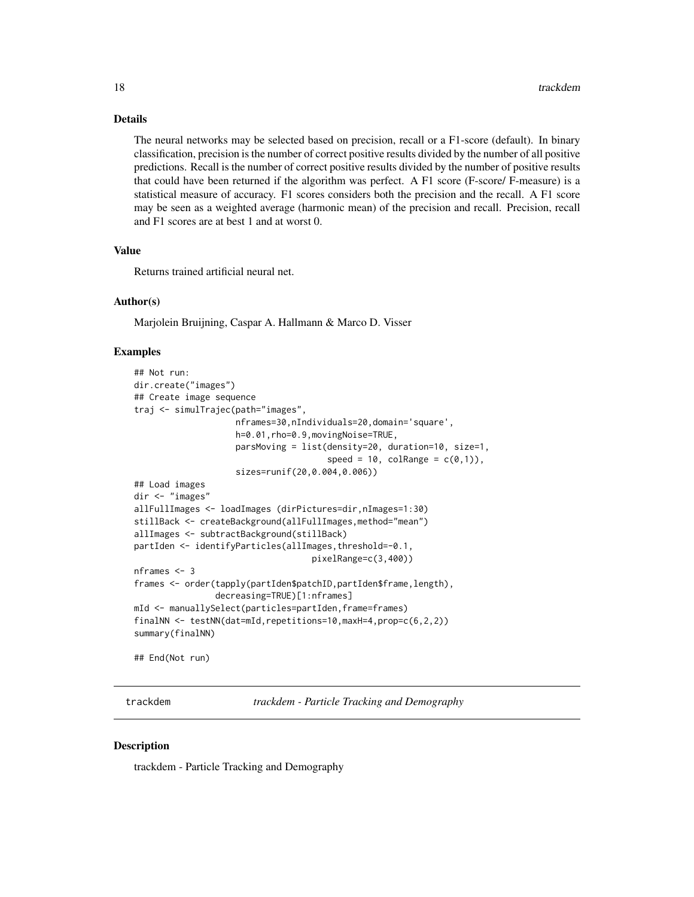#### <span id="page-17-0"></span>Details

The neural networks may be selected based on precision, recall or a F1-score (default). In binary classification, precision is the number of correct positive results divided by the number of all positive predictions. Recall is the number of correct positive results divided by the number of positive results that could have been returned if the algorithm was perfect. A F1 score (F-score/ F-measure) is a statistical measure of accuracy. F1 scores considers both the precision and the recall. A F1 score may be seen as a weighted average (harmonic mean) of the precision and recall. Precision, recall and F1 scores are at best 1 and at worst 0.

#### Value

Returns trained artificial neural net.

#### Author(s)

Marjolein Bruijning, Caspar A. Hallmann & Marco D. Visser

#### Examples

```
## Not run:
dir.create("images")
## Create image sequence
traj <- simulTrajec(path="images",
                    nframes=30,nIndividuals=20,domain='square',
                    h=0.01,rho=0.9,movingNoise=TRUE,
                    parsMoving = list(density=20, duration=10, size=1,
                                      speed = 10, colRange = c(0,1)),sizes=runif(20,0.004,0.006))
## Load images
dir <- "images"
allFullImages <- loadImages (dirPictures=dir,nImages=1:30)
stillBack <- createBackground(allFullImages,method="mean")
allImages <- subtractBackground(stillBack)
partIden <- identifyParticles(allImages,threshold=-0.1,
                                   pixelRange=c(3,400))
nframes <- 3
frames <- order(tapply(partIden$patchID,partIden$frame,length),
                decreasing=TRUE)[1:nframes]
mId <- manuallySelect(particles=partIden,frame=frames)
finalNN <- testNN(dat=mId,repetitions=10,maxH=4,prop=c(6,2,2))
summary(finalNN)
```
## End(Not run)

trackdem *trackdem - Particle Tracking and Demography*

#### **Description**

trackdem - Particle Tracking and Demography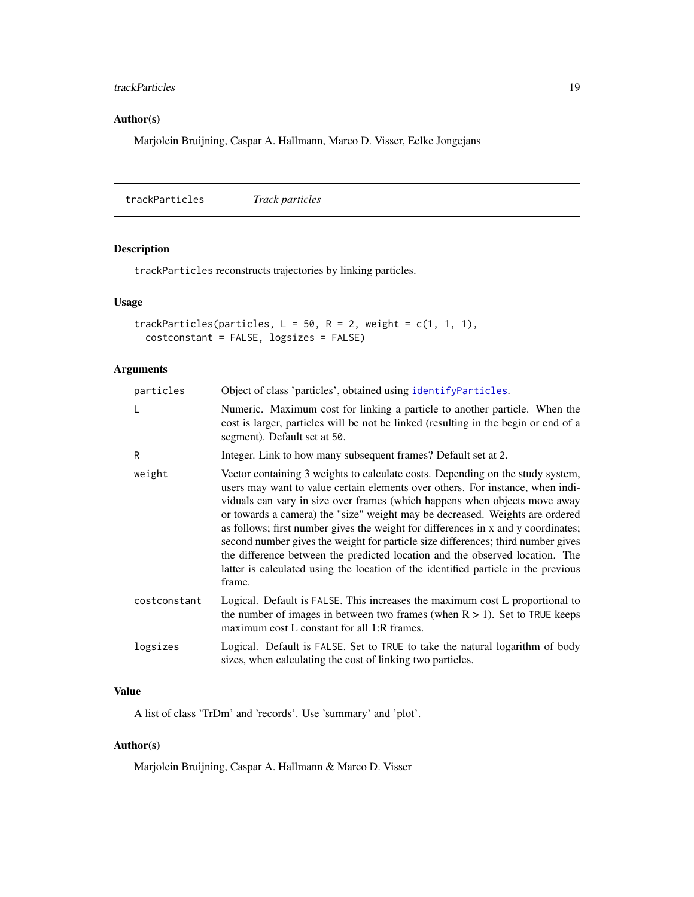# <span id="page-18-0"></span>trackParticles 19

# Author(s)

Marjolein Bruijning, Caspar A. Hallmann, Marco D. Visser, Eelke Jongejans

<span id="page-18-1"></span>trackParticles *Track particles*

# Description

trackParticles reconstructs trajectories by linking particles.

#### Usage

```
trackParticles(particles, L = 50, R = 2, weight = c(1, 1, 1),
 costconstant = FALSE, logsizes = FALSE)
```
# Arguments

| particles    | Object of class 'particles', obtained using identifyParticles.                                                                                                                                                                                                                                                                                                                                                                                                                                                                                                                                                                                                                          |
|--------------|-----------------------------------------------------------------------------------------------------------------------------------------------------------------------------------------------------------------------------------------------------------------------------------------------------------------------------------------------------------------------------------------------------------------------------------------------------------------------------------------------------------------------------------------------------------------------------------------------------------------------------------------------------------------------------------------|
| L            | Numeric. Maximum cost for linking a particle to another particle. When the<br>cost is larger, particles will be not be linked (resulting in the begin or end of a<br>segment). Default set at 50.                                                                                                                                                                                                                                                                                                                                                                                                                                                                                       |
| R            | Integer. Link to how many subsequent frames? Default set at 2.                                                                                                                                                                                                                                                                                                                                                                                                                                                                                                                                                                                                                          |
| weight       | Vector containing 3 weights to calculate costs. Depending on the study system,<br>users may want to value certain elements over others. For instance, when indi-<br>viduals can vary in size over frames (which happens when objects move away<br>or towards a camera) the "size" weight may be decreased. Weights are ordered<br>as follows; first number gives the weight for differences in x and y coordinates;<br>second number gives the weight for particle size differences; third number gives<br>the difference between the predicted location and the observed location. The<br>latter is calculated using the location of the identified particle in the previous<br>frame. |
| costconstant | Logical. Default is FALSE. This increases the maximum cost L proportional to<br>the number of images in between two frames (when $R > 1$ ). Set to TRUE keeps<br>maximum cost L constant for all 1:R frames.                                                                                                                                                                                                                                                                                                                                                                                                                                                                            |
| logsizes     | Logical. Default is FALSE. Set to TRUE to take the natural logarithm of body<br>sizes, when calculating the cost of linking two particles.                                                                                                                                                                                                                                                                                                                                                                                                                                                                                                                                              |

# Value

A list of class 'TrDm' and 'records'. Use 'summary' and 'plot'.

# Author(s)

Marjolein Bruijning, Caspar A. Hallmann & Marco D. Visser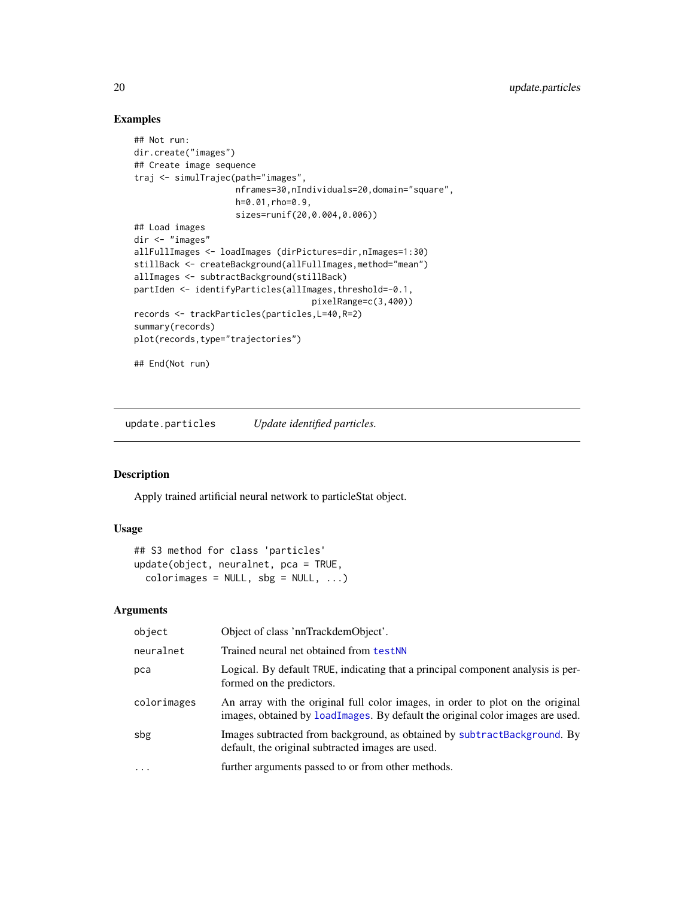# Examples

```
## Not run:
dir.create("images")
## Create image sequence
traj <- simulTrajec(path="images",
                    nframes=30,nIndividuals=20,domain="square",
                    h=0.01,rho=0.9,
                    sizes=runif(20,0.004,0.006))
## Load images
dir <- "images"
allFullImages <- loadImages (dirPictures=dir,nImages=1:30)
stillBack <- createBackground(allFullImages,method="mean")
allImages <- subtractBackground(stillBack)
partIden <- identifyParticles(allImages,threshold=-0.1,
                                   pixelRange=c(3,400))
records <- trackParticles(particles,L=40,R=2)
summary(records)
plot(records,type="trajectories")
## End(Not run)
```
update.particles *Update identified particles.*

# Description

Apply trained artificial neural network to particleStat object.

#### Usage

```
## S3 method for class 'particles'
update(object, neuralnet, pca = TRUE,
  colorimages = NULL, sbg = NULL, ...)
```
# Arguments

| object      | Object of class 'nnTrackdemObject'.                                                                                                                              |
|-------------|------------------------------------------------------------------------------------------------------------------------------------------------------------------|
| neuralnet   | Trained neural net obtained from testNN                                                                                                                          |
| pca         | Logical. By default TRUE, indicating that a principal component analysis is per-<br>formed on the predictors.                                                    |
| colorimages | An array with the original full color images, in order to plot on the original<br>images, obtained by loadImages. By default the original color images are used. |
| sbg         | Images subtracted from background, as obtained by subtractBackground. By<br>default, the original subtracted images are used.                                    |
| $\ddots$    | further arguments passed to or from other methods.                                                                                                               |

<span id="page-19-0"></span>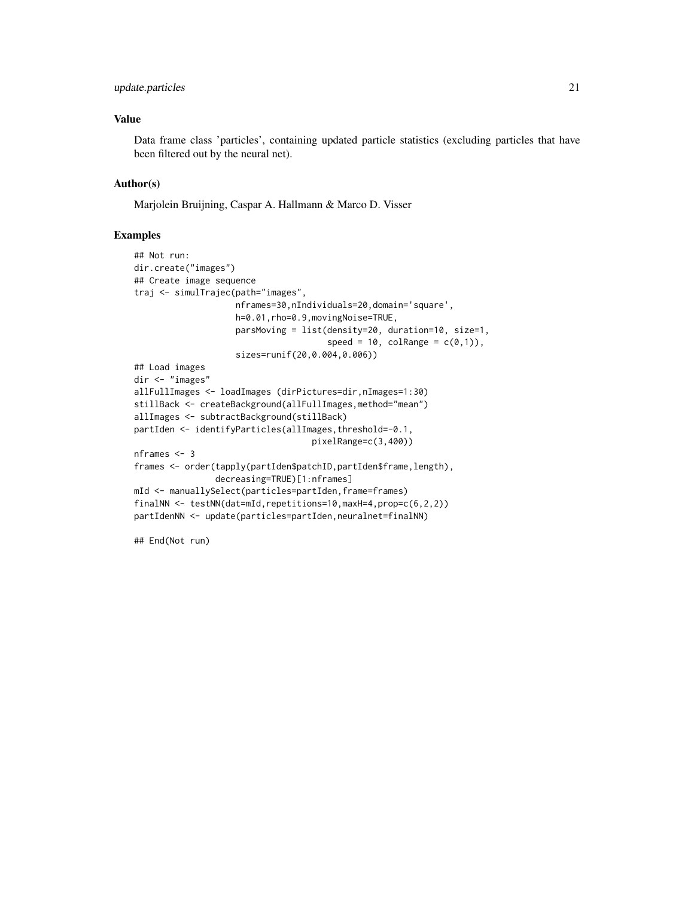# update.particles 21

### Value

Data frame class 'particles', containing updated particle statistics (excluding particles that have been filtered out by the neural net).

#### Author(s)

Marjolein Bruijning, Caspar A. Hallmann & Marco D. Visser

#### Examples

```
## Not run:
dir.create("images")
## Create image sequence
traj <- simulTrajec(path="images",
                    nframes=30,nIndividuals=20,domain='square',
                    h=0.01,rho=0.9,movingNoise=TRUE,
                    parsMoving = list(density=20, duration=10, size=1,
                                      speed = 10, colRange = c(0,1)),sizes=runif(20,0.004,0.006))
## Load images
dir <- "images"
allFullImages <- loadImages (dirPictures=dir,nImages=1:30)
stillBack <- createBackground(allFullImages,method="mean")
allImages <- subtractBackground(stillBack)
partIden <- identifyParticles(allImages,threshold=-0.1,
                                   pixelRange=c(3,400))
nframes <- 3
frames <- order(tapply(partIden$patchID,partIden$frame,length),
                decreasing=TRUE)[1:nframes]
mId <- manuallySelect(particles=partIden,frame=frames)
finalNN <- testNN(dat=mId,repetitions=10,maxH=4,prop=c(6,2,2))
partIdenNN <- update(particles=partIden,neuralnet=finalNN)
```
## End(Not run)